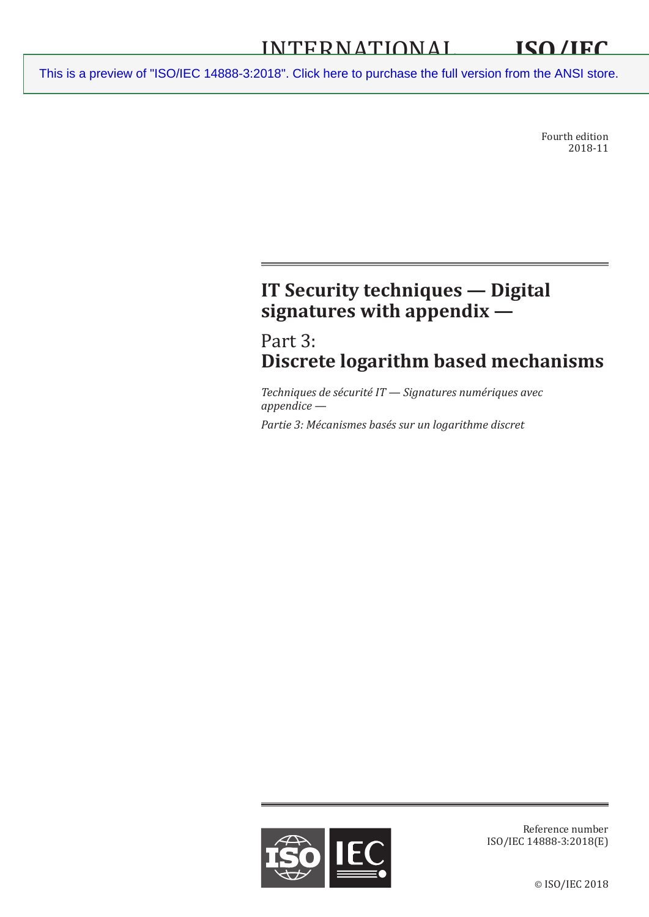Fourth edition 2018-11

# **IT Security techniques — Digital signatures with appendix —**

# Part 3: **Discrete logarithm based mechanisms**

*Techniques de sécurité IT — Signatures numériques avec appendice —*

*Partie 3: Mécanismes basés sur un logarithme discret*



Reference number ISO/IEC 14888-3:2018(E)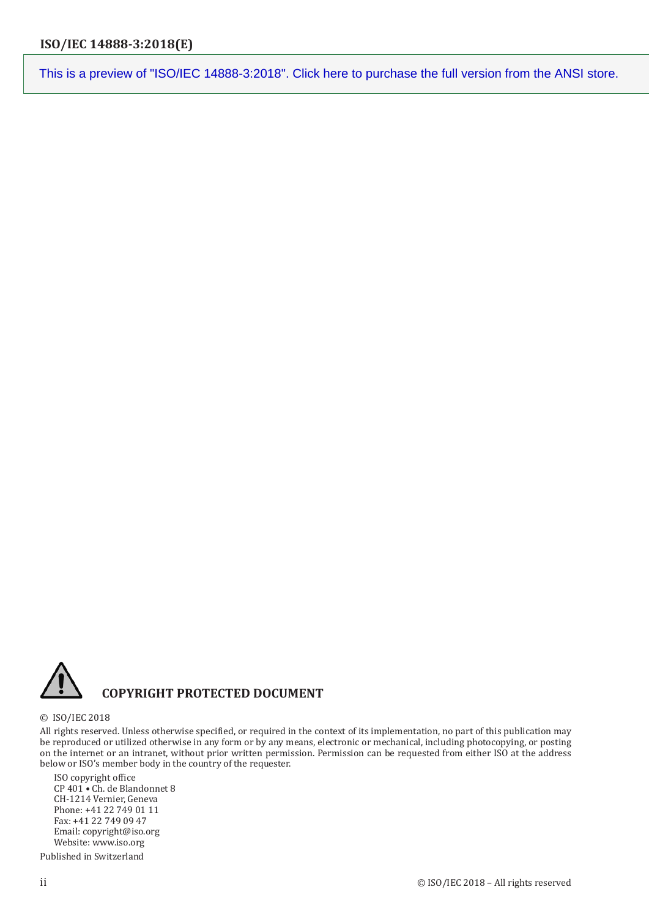© ISO/IEC 2018

## **COPYRIGHT PROTECTED DOCUMENT**

#### All rights reserved. Unless otherwise specified, or required in the context of its implementation, no part of this publication may be reproduced or utilized otherwise in any form or by any means, electronic or mechanical, including photocopying, or posting on the internet or an intranet, without prior written permission. Permission can be requested from either ISO at the address below or ISO's member body in the country of the requester.

ISO copyright office CP 401 • Ch. de Blandonnet 8 CH-1214 Vernier, Geneva Phone: +41 22 749 01 11 Fax: +41 22 749 09 47 Email: copyright@iso.org Website: www.iso.org

Published in Switzerland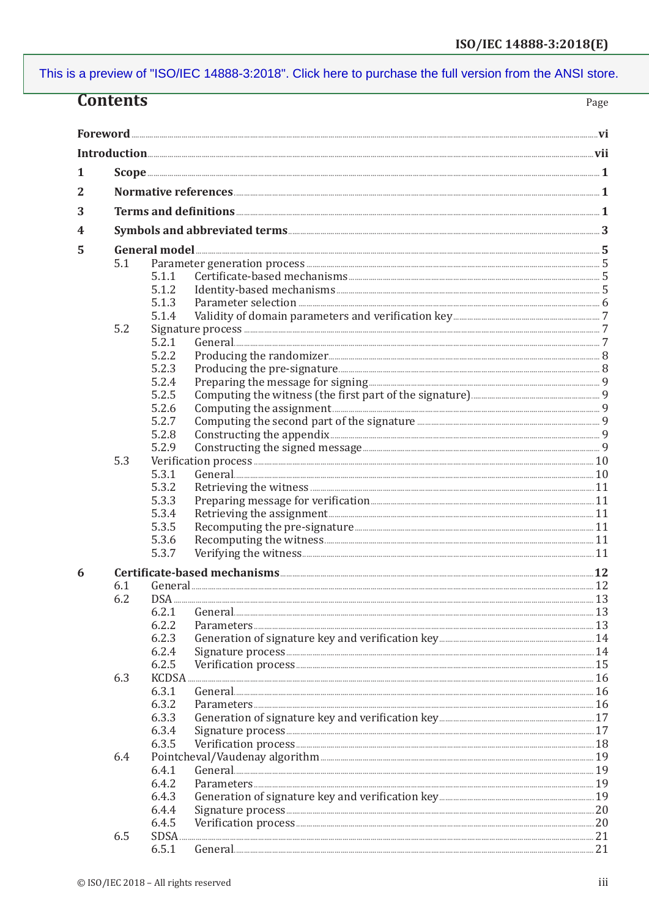| <b>Contents</b><br>Page |                                          |             |                                                                                                                                                                                                                                                                                                                                                                                         |     |  |
|-------------------------|------------------------------------------|-------------|-----------------------------------------------------------------------------------------------------------------------------------------------------------------------------------------------------------------------------------------------------------------------------------------------------------------------------------------------------------------------------------------|-----|--|
|                         |                                          |             |                                                                                                                                                                                                                                                                                                                                                                                         |     |  |
|                         |                                          |             |                                                                                                                                                                                                                                                                                                                                                                                         |     |  |
|                         |                                          |             |                                                                                                                                                                                                                                                                                                                                                                                         |     |  |
| 1                       |                                          |             | $\textbf{Scope} \texttt{} \texttt{} \texttt{} \texttt{} \texttt{} \texttt{} \texttt{} \texttt{} \texttt{} \texttt{} \texttt{} \texttt{} \texttt{} \texttt{} \texttt{} \texttt{} \texttt{} \texttt{} \texttt{} \texttt{} \texttt{} \texttt{} \texttt{} \texttt{} \texttt{} \texttt{} \texttt{} \texttt{} \texttt{} \texttt{} \texttt{} \texttt{} \texttt{} \texttt{} \texttt{} \texttt{$ |     |  |
|                         |                                          |             |                                                                                                                                                                                                                                                                                                                                                                                         |     |  |
| 2                       |                                          |             |                                                                                                                                                                                                                                                                                                                                                                                         |     |  |
| 3                       | Terms and definitions <b>Elections</b> 2 |             |                                                                                                                                                                                                                                                                                                                                                                                         |     |  |
| 4                       |                                          |             |                                                                                                                                                                                                                                                                                                                                                                                         |     |  |
| 5                       |                                          |             |                                                                                                                                                                                                                                                                                                                                                                                         |     |  |
|                         | 5.1                                      |             |                                                                                                                                                                                                                                                                                                                                                                                         |     |  |
|                         |                                          | 5.1.1       |                                                                                                                                                                                                                                                                                                                                                                                         |     |  |
|                         |                                          | 5.1.2       |                                                                                                                                                                                                                                                                                                                                                                                         |     |  |
|                         |                                          | 5.1.3       |                                                                                                                                                                                                                                                                                                                                                                                         |     |  |
|                         |                                          | 5.1.4       |                                                                                                                                                                                                                                                                                                                                                                                         |     |  |
|                         | 5.2                                      |             |                                                                                                                                                                                                                                                                                                                                                                                         |     |  |
|                         |                                          | 5.2.1       |                                                                                                                                                                                                                                                                                                                                                                                         |     |  |
|                         |                                          | 5.2.2       |                                                                                                                                                                                                                                                                                                                                                                                         |     |  |
|                         |                                          | 5.2.3       |                                                                                                                                                                                                                                                                                                                                                                                         |     |  |
|                         |                                          | 5.2.4       |                                                                                                                                                                                                                                                                                                                                                                                         |     |  |
|                         |                                          | 5.2.5       |                                                                                                                                                                                                                                                                                                                                                                                         |     |  |
|                         |                                          | 5.2.6       |                                                                                                                                                                                                                                                                                                                                                                                         |     |  |
|                         |                                          | 5.2.7       |                                                                                                                                                                                                                                                                                                                                                                                         |     |  |
|                         |                                          | 5.2.8       |                                                                                                                                                                                                                                                                                                                                                                                         |     |  |
|                         |                                          | 5.2.9       |                                                                                                                                                                                                                                                                                                                                                                                         |     |  |
|                         | 5.3                                      |             |                                                                                                                                                                                                                                                                                                                                                                                         |     |  |
|                         |                                          | 5.3.1       |                                                                                                                                                                                                                                                                                                                                                                                         |     |  |
|                         |                                          |             |                                                                                                                                                                                                                                                                                                                                                                                         |     |  |
|                         |                                          | 5.3.2       |                                                                                                                                                                                                                                                                                                                                                                                         |     |  |
|                         |                                          | 5.3.3       |                                                                                                                                                                                                                                                                                                                                                                                         |     |  |
|                         |                                          | 5.3.4       |                                                                                                                                                                                                                                                                                                                                                                                         |     |  |
|                         |                                          | 5.3.5       |                                                                                                                                                                                                                                                                                                                                                                                         |     |  |
|                         |                                          | 5.3.6       |                                                                                                                                                                                                                                                                                                                                                                                         |     |  |
|                         |                                          | 5.3.7       |                                                                                                                                                                                                                                                                                                                                                                                         |     |  |
| 6                       |                                          |             |                                                                                                                                                                                                                                                                                                                                                                                         |     |  |
|                         | 6.1                                      |             |                                                                                                                                                                                                                                                                                                                                                                                         |     |  |
|                         | 6.2                                      | <b>DSA</b>  |                                                                                                                                                                                                                                                                                                                                                                                         |     |  |
|                         |                                          | 6.2.1       |                                                                                                                                                                                                                                                                                                                                                                                         |     |  |
|                         |                                          | 6.2.2       |                                                                                                                                                                                                                                                                                                                                                                                         |     |  |
|                         |                                          | 6.2.3       |                                                                                                                                                                                                                                                                                                                                                                                         |     |  |
|                         |                                          | 6.2.4       |                                                                                                                                                                                                                                                                                                                                                                                         |     |  |
|                         |                                          | 6.2.5       |                                                                                                                                                                                                                                                                                                                                                                                         |     |  |
|                         | 6.3                                      | KCDSA       |                                                                                                                                                                                                                                                                                                                                                                                         |     |  |
|                         |                                          | 6.3.1       |                                                                                                                                                                                                                                                                                                                                                                                         |     |  |
|                         |                                          | 6.3.2       |                                                                                                                                                                                                                                                                                                                                                                                         |     |  |
|                         |                                          | 6.3.3       |                                                                                                                                                                                                                                                                                                                                                                                         |     |  |
|                         |                                          | 6.3.4       |                                                                                                                                                                                                                                                                                                                                                                                         |     |  |
|                         |                                          | 6.3.5       |                                                                                                                                                                                                                                                                                                                                                                                         |     |  |
|                         | 6.4                                      |             |                                                                                                                                                                                                                                                                                                                                                                                         |     |  |
|                         |                                          | 6.4.1       |                                                                                                                                                                                                                                                                                                                                                                                         |     |  |
|                         |                                          |             |                                                                                                                                                                                                                                                                                                                                                                                         |     |  |
|                         |                                          | 6.4.2       |                                                                                                                                                                                                                                                                                                                                                                                         |     |  |
|                         |                                          | 6.4.3       |                                                                                                                                                                                                                                                                                                                                                                                         |     |  |
|                         |                                          | 6.4.4       |                                                                                                                                                                                                                                                                                                                                                                                         | .20 |  |
|                         |                                          | 6.4.5       |                                                                                                                                                                                                                                                                                                                                                                                         | 20  |  |
|                         | 6.5                                      | <b>SDSA</b> |                                                                                                                                                                                                                                                                                                                                                                                         | 21  |  |
|                         |                                          | 6.5.1       |                                                                                                                                                                                                                                                                                                                                                                                         | 21  |  |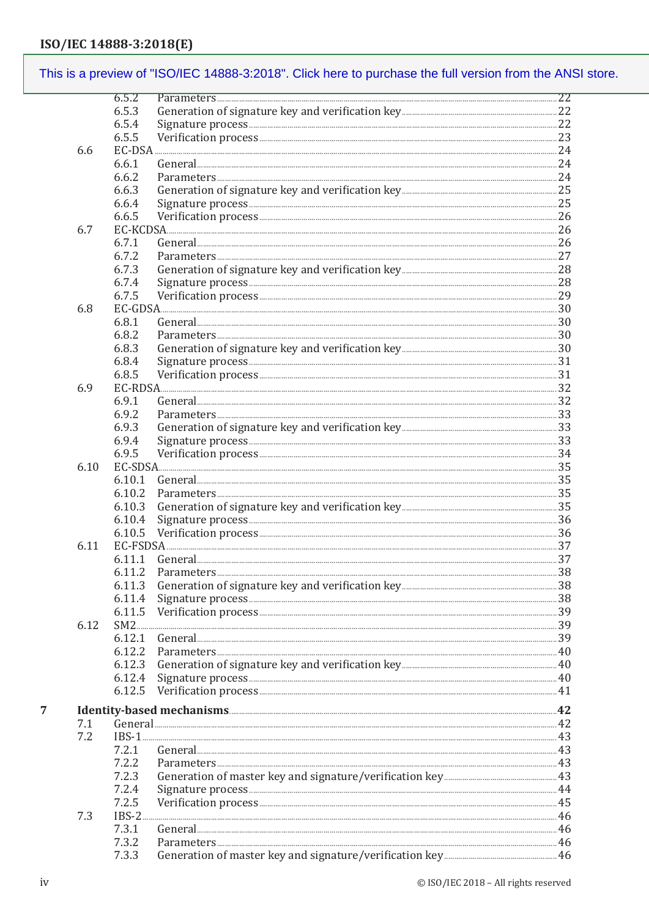#### This is a preview of "ISO/IEC 14888-3:2018". Click here to purchase the full version from the ANSI store.  $6.5.2$ 6.5.3 6.5.4 6.5.5 6.6  $EC-DSA$  24 6.6.1 6.6.2 6.6.3 6.6.4 6.6.5 6.7 671 6.7.2 6.7.3 6.7.4 6.7.5 6.8  $EC-GDSA$  30 6.8.1  $General$ 682 6.8.3 6.8.4 6.8.5 6.9  $EC-RDSA$  32 6.9.1  $G$ eneral  $\overline{\phantom{a}}$  32 692 6.9.3 6.9.4 6.9.5 6.10 6.10.1 6.10.2 6.10.3 6.10.4 Verification process 36 6105 EC-FSDSA 237 6.11 6.11.1 General 37 6.11.2 6.11.5 Verification process 39 6.12  $SM2$  39 6.12.1 General 29 6.12.2 Parameters 40 6.12.3 6.12.4 6.12.5  $\overline{7}$ General 22  $7.1$  $7.2$  $IBS-1$  43  $7.2.1$  $General$  43 722 7.2.3  $7.2.4$ 7.2.5 7.3  $IBS-2$ ....  $7.3.1$ General 46 7.3.2 7.3.3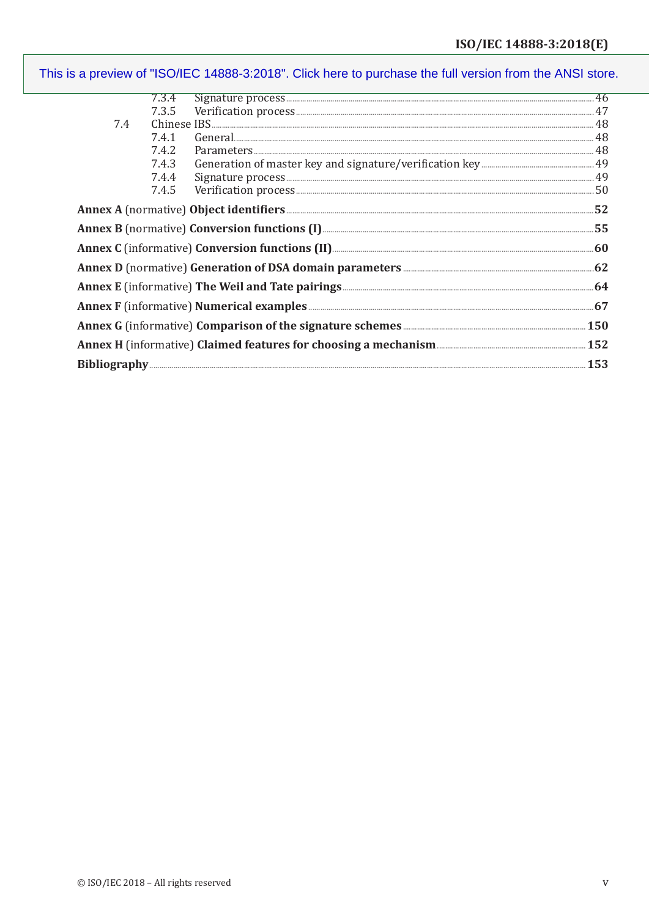| 7.4                                                                                                |                                                                                                                                                                                                                                                                                                                                                                                                                                                                                                                                                                                                           |  |  |  |
|----------------------------------------------------------------------------------------------------|-----------------------------------------------------------------------------------------------------------------------------------------------------------------------------------------------------------------------------------------------------------------------------------------------------------------------------------------------------------------------------------------------------------------------------------------------------------------------------------------------------------------------------------------------------------------------------------------------------------|--|--|--|
|                                                                                                    | General 48<br>Parameters 48<br>7.4.1                                                                                                                                                                                                                                                                                                                                                                                                                                                                                                                                                                      |  |  |  |
|                                                                                                    | 7.4.2                                                                                                                                                                                                                                                                                                                                                                                                                                                                                                                                                                                                     |  |  |  |
|                                                                                                    | 7.4.3                                                                                                                                                                                                                                                                                                                                                                                                                                                                                                                                                                                                     |  |  |  |
|                                                                                                    | 7.4.4                                                                                                                                                                                                                                                                                                                                                                                                                                                                                                                                                                                                     |  |  |  |
|                                                                                                    | $\begin{minipage}{0.9\linewidth} \textbf{Signature process} \end{minipage} \begin{minipage}{0.9\linewidth} \textbf{Perification process} \end{minipage} \begin{minipage}{0.9\linewidth} \textbf{Signature process} \end{minipage} \begin{minipage}{0.9\linewidth} \textbf{Signature process} \end{minipage} \begin{minipage}{0.9\linewidth} \textbf{Signature process} \end{minipage} \begin{minipage}{0.9\linewidth} \textbf{Signature process} \end{minipage} \begin{minipage}{0.9\linewidth} \textbf{Signature} \end{minipage} \begin{minipage}{0.9\linewidth} \textbf{Signature} \end{minip$<br>7.4.5 |  |  |  |
|                                                                                                    |                                                                                                                                                                                                                                                                                                                                                                                                                                                                                                                                                                                                           |  |  |  |
| Annex B (normative) Conversion functions (I) <b>Manual Conversion</b> 55                           |                                                                                                                                                                                                                                                                                                                                                                                                                                                                                                                                                                                                           |  |  |  |
| Annex C (informative) Conversion functions (II) <b>Manual Conversion</b> 60                        |                                                                                                                                                                                                                                                                                                                                                                                                                                                                                                                                                                                                           |  |  |  |
| Annex D (normative) Generation of DSA domain parameters <b>Manual Annex D</b> (normative) 62       |                                                                                                                                                                                                                                                                                                                                                                                                                                                                                                                                                                                                           |  |  |  |
| Annex E (informative) The Weil and Tate pairings <b>Entimated Annex E</b> (informative) 64         |                                                                                                                                                                                                                                                                                                                                                                                                                                                                                                                                                                                                           |  |  |  |
| Annex F (informative) Numerical examples <b>Examples</b> 2008 and 2014 07                          |                                                                                                                                                                                                                                                                                                                                                                                                                                                                                                                                                                                                           |  |  |  |
| Annex G (informative) Comparison of the signature schemes <b>Ensimes Annex G</b> (informative) 150 |                                                                                                                                                                                                                                                                                                                                                                                                                                                                                                                                                                                                           |  |  |  |
| Annex H (informative) Claimed features for choosing a mechanism                                    |                                                                                                                                                                                                                                                                                                                                                                                                                                                                                                                                                                                                           |  |  |  |
|                                                                                                    |                                                                                                                                                                                                                                                                                                                                                                                                                                                                                                                                                                                                           |  |  |  |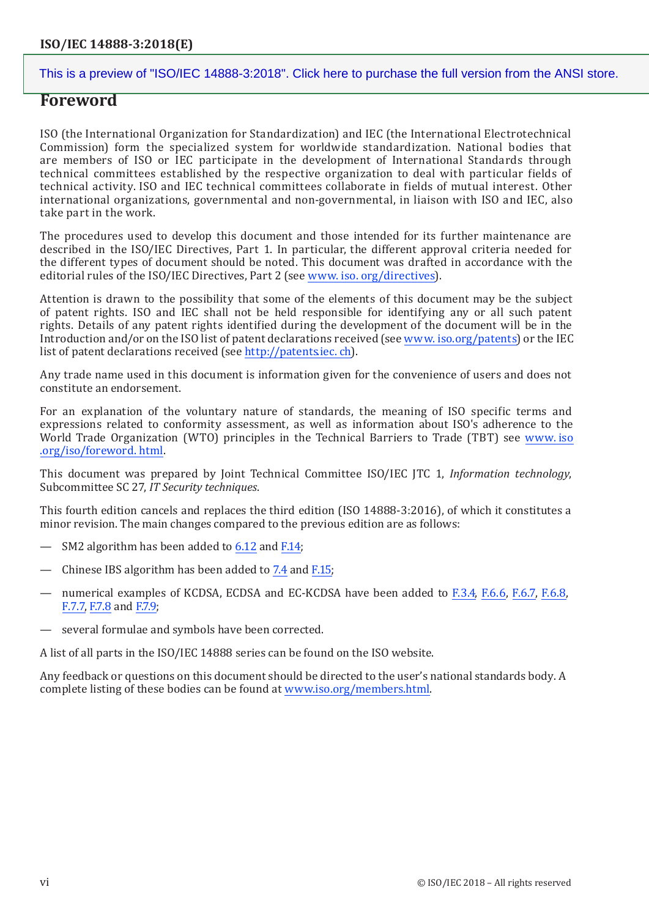## **Foreword**

ISO (the International Organization for Standardization) and IEC (the International Electrotechnical Commission) form the specialized system for worldwide standardization. National bodies that are members of ISO or IEC participate in the development of International Standards through technical committees established by the respective organization to deal with particular fields of technical activity. ISO and IEC technical committees collaborate in fields of mutual interest. Other international organizations, governmental and non-governmental, in liaison with ISO and IEC, also take part in the work.

The procedures used to develop this document and those intended for its further maintenance are described in the ISO/IEC Directives, Part 1. In particular, the different approval criteria needed for the different types of document should be noted. This document was drafted in accordance with the editorial rules of the ISO/IEC Directives, Part 2 (see www. iso. org/directives).

Attention is drawn to the possibility that some of the elements of this document may be the subject of patent rights. ISO and IEC shall not be held responsible for identifying any or all such patent rights. Details of any patent rights identified during the development of the document will be in the Introduction and/or on the ISO list of patent declarations received (see www. iso.org/patents) or the IEC list of patent declarations received (see http://patentsiec.ch).

Any trade name used in this document is information given for the convenience of users and does not constitute an endorsement.

For an explanation of the voluntary nature of standards, the meaning of ISO specific terms and expressions related to conformity assessment, as well as information about ISO's adherence to the World Trade Organization (WTO) principles in the Technical Barriers to Trade (TBT) see www.iso .org/iso/foreword.html.

This document was prepared by Joint Technical Committee ISO/IEC ITC 1. Information technology, Subcommittee SC 27, IT Security techniques.

This fourth edition cancels and replaces the third edition (ISO 14888-3:2016), of which it constitutes a minor revision. The main changes compared to the previous edition are as follows:

- SM2 algorithm has been added to 6.12 and F.14;
- Chinese IBS algorithm has been added to 7.4 and F.15;
- numerical examples of KCDSA. ECDSA and EC-KCDSA have been added to F.3.4, F.6.6, F.6.7, F.6.8. F.7.7, F.7.8 and F.7.9;
- several formulae and symbols have been corrected.

A list of all parts in the ISO/IEC 14888 series can be found on the ISO website.

Any feedback or questions on this document should be directed to the user's national standards body. A complete listing of these bodies can be found at www.iso.org/members.html.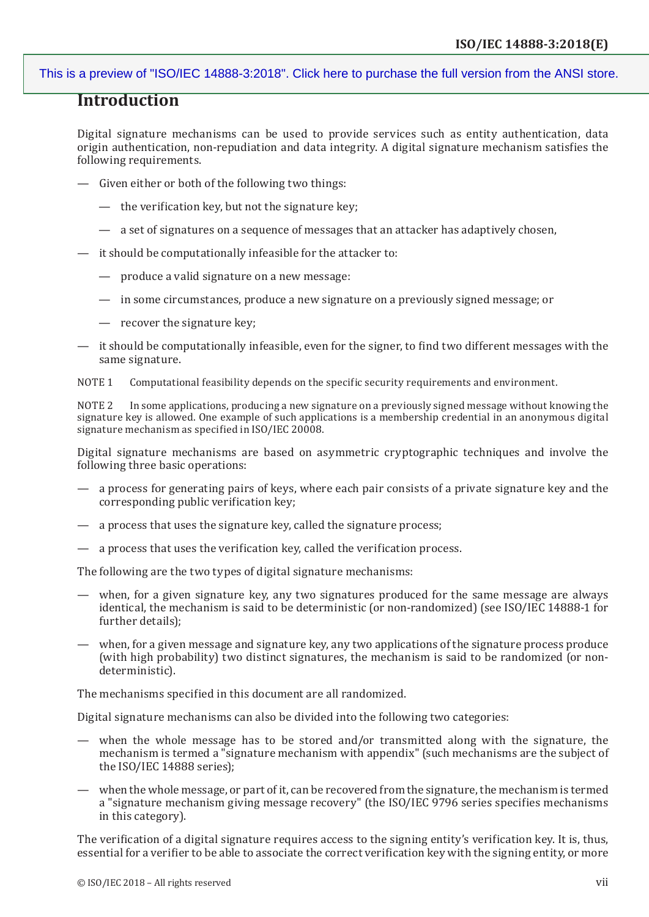## **Introduction**

Digital signature mechanisms can be used to provide services such as entity authentication, data origin authentication, non-repudiation and data integrity. A digital signature mechanism satisfies the following requirements.

- Given either or both of the following two things:
	- the verification key, but not the signature key;
	- a set of signatures on a sequence of messages that an attacker has adaptively chosen,
- it should be computationally infeasible for the attacker to:
	- produce a valid signature on a new message:
	- in some circumstances, produce a new signature on a previously signed message; or
	- recover the signature key;
- it should be computationally infeasible, even for the signer, to find two different messages with the same signature.

NOTE 1 Computational feasibility depends on the specific security requirements and environment.

NOTE 2 In some applications, producing a new signature on a previously signed message without knowing the signature key is allowed. One example of such applications is a membership credential in an anonymous digital signature mechanism as specified in ISO/IEC 20008.

Digital signature mechanisms are based on asymmetric cryptographic techniques and involve the following three basic operations:

- a process for generating pairs of keys, where each pair consists of a private signature key and the corresponding public verification key;
- a process that uses the signature key, called the signature process;
- a process that uses the verification key, called the verification process.

The following are the two types of digital signature mechanisms:

- when, for a given signature key, any two signatures produced for the same message are always identical, the mechanism is said to be deterministic (or non-randomized) (see ISO/IEC 14888-1 for further details);
- when, for a given message and signature key, any two applications of the signature process produce (with high probability) two distinct signatures, the mechanism is said to be randomized (or nondeterministic).

The mechanisms specified in this document are all randomized.

Digital signature mechanisms can also be divided into the following two categories:

- when the whole message has to be stored and/or transmitted along with the signature, the mechanism is termed a "signature mechanism with appendix" (such mechanisms are the subject of the ISO/IEC 14888 series);
- when the whole message, or part of it, can be recovered from the signature, the mechanism is termed a "signature mechanism giving message recovery" (the ISO/IEC 9796 series specifies mechanisms in this category).

The verification of a digital signature requires access to the signing entity's verification key. It is, thus, essential for a verifier to be able to associate the correct verification key with the signing entity, or more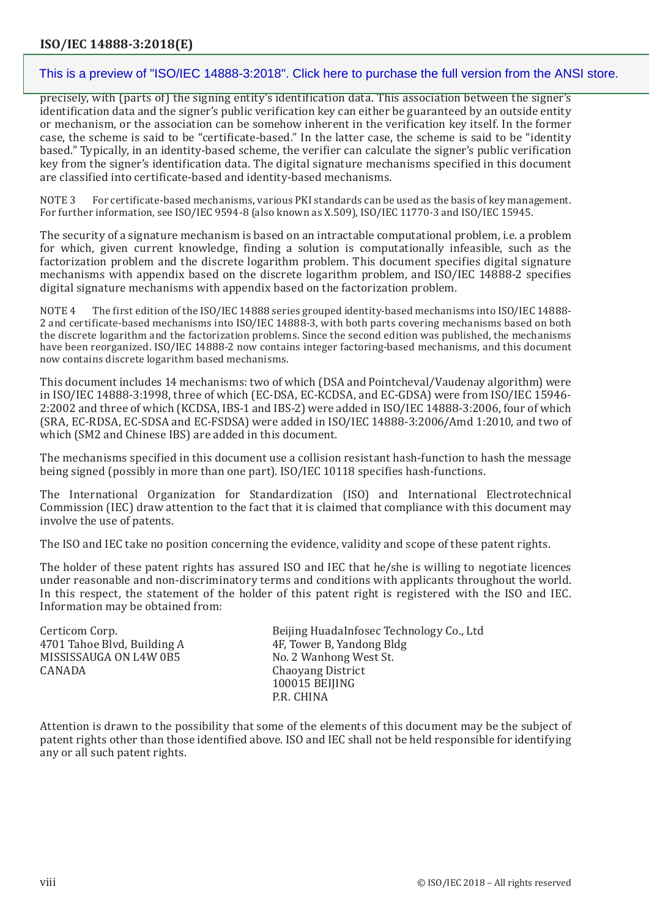precisely, with (parts of) the signing entity's identification data. This association between the signer's identification data and the signer's public verification key can either be guaranteed by an outside entity or mechanism, or the association can be somehow inherent in the verification key itself. In the former case, the scheme is said to be "certificate-based." In the latter case, the scheme is said to be "identity based." Typically, in an identity-based scheme, the verifier can calculate the signer's public verification key from the signer's identification data. The digital signature mechanisms specified in this document are classified into certificate-based and identity-based mechanisms.

NOTE 3 For certificate-based mechanisms, various PKI standards can be used as the basis of key management. For further information, see ISO/IEC 9594-8 (also known as X.509), ISO/IEC 11770-3 and ISO/IEC 15945.

The security of a signature mechanism is based on an intractable computational problem, i.e. a problem for which, given current knowledge, finding a solution is computationally infeasible, such as the factorization problem and the discrete logarithm problem. This document specifies digital signature mechanisms with appendix based on the discrete logarithm problem, and ISO/IEC 14888-2 specifies digital signature mechanisms with appendix based on the factorization problem.

NOTE 4 The first edition of the ISO/IEC 14888 series grouped identity-based mechanisms into ISO/IEC 14888- 2 and certificate-based mechanisms into ISO/IEC 14888-3, with both parts covering mechanisms based on both the discrete logarithm and the factorization problems. Since the second edition was published, the mechanisms have been reorganized. ISO/IEC 14888-2 now contains integer factoring-based mechanisms, and this document now contains discrete logarithm based mechanisms.

This document includes 14 mechanisms: two of which (DSA and Pointcheval/Vaudenay algorithm) were in ISO/IEC 14888-3:1998, three of which (EC-DSA, EC-KCDSA, and EC-GDSA) were from ISO/IEC 15946- 2:2002 and three of which (KCDSA, IBS-1 and IBS-2) were added in ISO/IEC 14888-3:2006, four of which (SRA, EC-RDSA, EC-SDSA and EC-FSDSA) were added in ISO/IEC 14888-3:2006/Amd 1:2010, and two of which (SM2 and Chinese IBS) are added in this document.

The mechanisms specified in this document use a collision resistant hash-function to hash the message being signed (possibly in more than one part). ISO/IEC 10118 specifies hash-functions.

The International Organization for Standardization (ISO) and International Electrotechnical Commission (IEC) draw attention to the fact that it is claimed that compliance with this document may involve the use of patents.

The ISO and IEC take no position concerning the evidence, validity and scope of these patent rights.

The holder of these patent rights has assured ISO and IEC that he/she is willing to negotiate licences under reasonable and non-discriminatory terms and conditions with applicants throughout the world. In this respect, the statement of the holder of this patent right is registered with the ISO and IEC. Information may be obtained from:

| Certicom Corp.<br>4701 Tahoe Blvd, Building A | Beijing HuadaInfosec Technology Co., Ltd<br>4F, Tower B, Yandong Bldg |
|-----------------------------------------------|-----------------------------------------------------------------------|
| MISSISSAUGA ON L4W 0B5<br>CANADA              | No. 2 Wanhong West St.<br>Chaoyang District<br>100015 BEIJING         |
|                                               | P.R. CHINA                                                            |

Attention is drawn to the possibility that some of the elements of this document may be the subject of patent rights other than those identified above. ISO and IEC shall not be held responsible for identifying any or all such patent rights.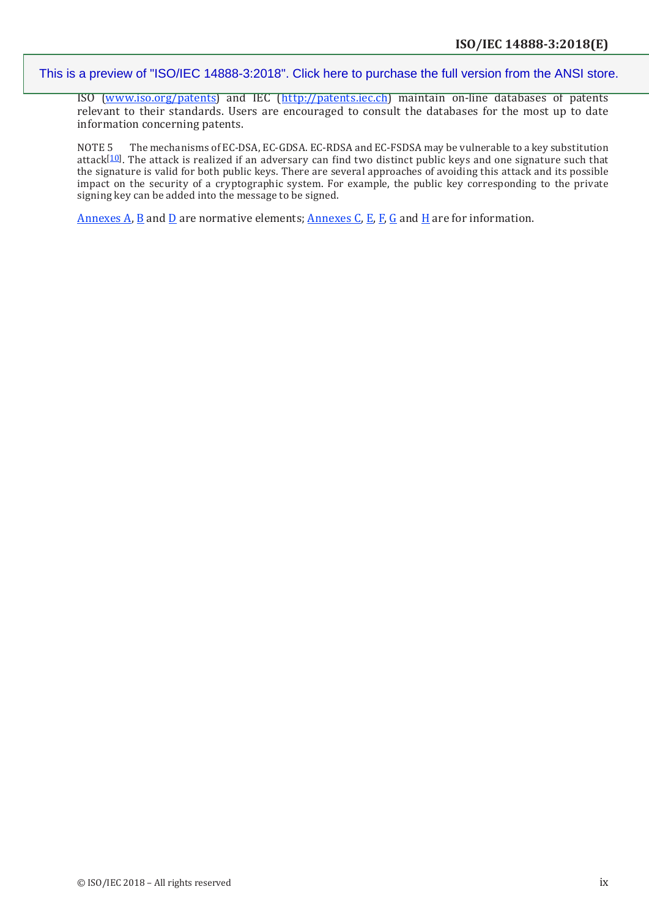ISO [\(www.iso.org/patents\)](http://www.iso.org/patents) and IEC (<http://patents.iec.ch>) maintain on-line databases of patents relevant to their standards. Users are encouraged to consult the databases for the most up to date information concerning patents.

NOTE 5 The mechanisms of EC-DSA, EC-GDSA. EC-RDSA and EC-FSDSA may be vulnerable to a key substitution attack[10]. The attack is realized if an adversary can find two distinct public keys and one signature such that the signature is valid for both public keys. There are several approaches of avoiding this attack and its possible impact on the security of a cryptographic system. For example, the public key corresponding to the private signing key can be added into the message to be signed.

Annexes A, B and D are normative elements; Annexes C, E, F, G and H are for information.